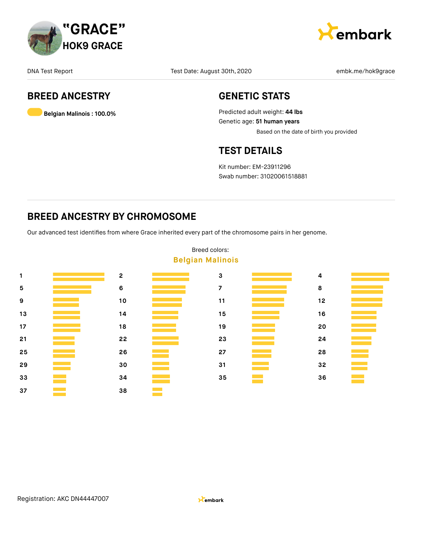



# **BREED ANCESTRY**

**Belgian Malinois : 100.0%**

### **GENETIC STATS**

Predicted adult weight: **44 lbs** Genetic age: **51 human years** Based on the date of birth you provided

### **TEST DETAILS**

Kit number: EM-23911296 Swab number: 31020061518881

### **BREED ANCESTRY BY CHROMOSOME**

Our advanced test identifies from where Grace inherited every part of the chromosome pairs in her genome.



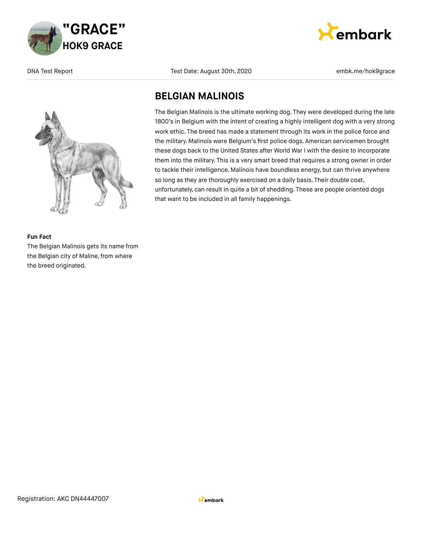



embark

### **BELGIAN MALINOIS**

The Belgian Malinois is the ultimate working dog. They were developed during the late 1800's in Belgium with the intent of creating a highly intelligent dog with a very strong work ethic. The breed has made a statement through its work in the police force and the military. Malinois were Belgium's first police dogs. American servicemen brought these dogs back to the United States after World War I with the desire to incorporate them into the military. This is a very smart breed that requires a strong owner in order to tackle their intelligence. Malinois have boundless energy, but can thrive anywhere so long as they are thoroughly exercised on a daily basis. Their double coat, unfortunately, can result in quite a bit of shedding. These are people oriented dogs that want to be included in all family happenings.

### **Fun Fact**

The Belgian Malinois gets its name from the Belgian city of Maline, from where the breed originated.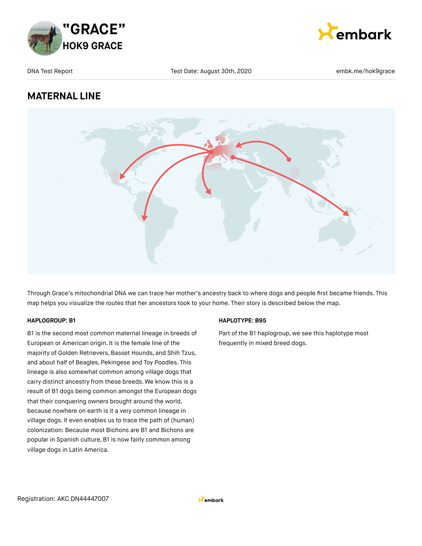



# **MATERNAL LINE**



Through Grace's mitochondrial DNA we can trace her mother's ancestry back to where dogs and people first became friends. This map helps you visualize the routes that her ancestors took to your home. Their story is described below the map.

### **HAPLOGROUP: B1**

B1 is the second most common maternal lineage in breeds of European or American origin. It is the female line of the majority of Golden Retrievers, Basset Hounds, and Shih Tzus, and about half of Beagles, Pekingese and Toy Poodles. This lineage is also somewhat common among village dogs that carry distinct ancestry from these breeds. We know this is a result of B1 dogs being common amongst the European dogs that their conquering owners brought around the world, because nowhere on earth is it a very common lineage in village dogs. It even enables us to trace the path of (human) colonization: Because most Bichons are B1 and Bichons are popular in Spanish culture, B1 is now fairly common among village dogs in Latin America.

### **HAPLOTYPE: B95**

Part of the B1 haplogroup, we see this haplotype most frequently in mixed breed dogs.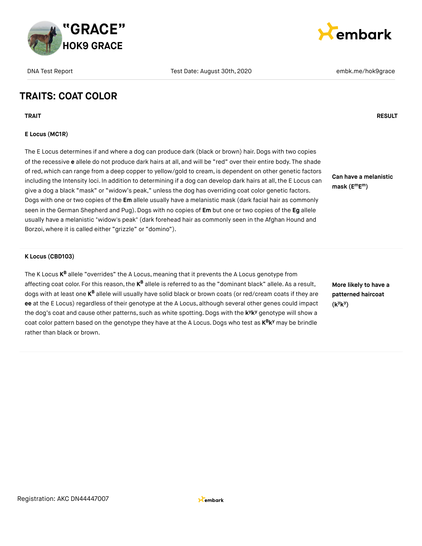

### **TRAITS: COAT COLOR**

**TRAIT RESULT**

### **E Locus (MC1R)**

The E Locus determines if and where a dog can produce dark (black or brown) hair. Dogs with two copies of the recessive **e** allele do not produce dark hairs at all, and will be "red" over their entire body. The shade of red, which can range from a deep copper to yellow/gold to cream, is dependent on other genetic factors including the Intensity loci. In addition to determining if a dog can develop dark hairs at all, the E Locus can give a dog a black "mask" or "widow's peak," unless the dog has overriding coat color genetic factors. Dogs with one or two copies of the **Em** allele usually have a melanistic mask (dark facial hair as commonly seen in the German Shepherd and Pug).Dogs with no copies of **Em** but one or two copies of the **Eg** allele usually have a melanistic "widow's peak" (dark forehead hair as commonly seen in the Afghan Hound and Borzoi, where it is called either "grizzle" or "domino").

#### **K Locus (CBD103)**

The K Locus **K<sup>B</sup>** allele "overrides" the A Locus, meaning that it prevents the A Locus genotype from affecting coat color. For this reason, the **K<sup>B</sup> allele is referred to as the "dominant** black" allele. As a result, dogs with at least one **K<sup>B</sup> allele will usually have solid black** or brown coats (or red/cream coats if they are **ee** at the E Locus) regardless of their genotype at the A Locus, although several other genes could impact the dog's coat and cause other patterns, such as white spotting. Dogs with the k<sup>y</sup>k<sup>y</sup> genotype will show a coat color pattern based on the genotype they have at the A Locus. Dogs who test as  $K^B K^y$  may be brindle rather than black or brown.

**More likely to have a patterned haircoat (k k ) y y**

**Can have a melanistic mask (E E ) m m**



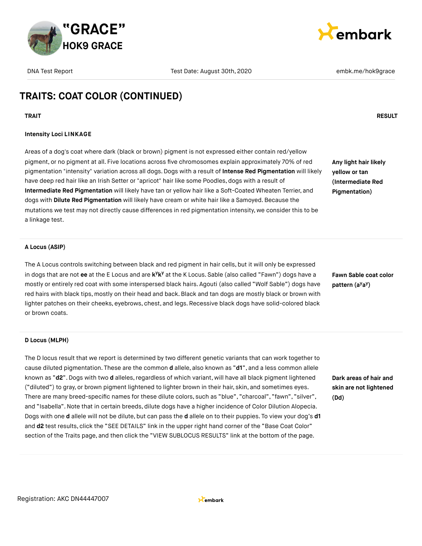



# **TRAITS: COAT COLOR (CONTINUED)**

**TRAIT RESULT**

### **Intensity Loci LINKAGE**

Areas of a dog's coat where dark (black or brown) pigment is not expressed either contain red/yellow pigment, or no pigment at all. Five locations across five chromosomes explain approximately 70% of red pigmentation "intensity" variation across all dogs. Dogs with a result of **Intense Red Pigmentation** will likely have deep red hair like an Irish Setter or "apricot" hair like some Poodles, dogs with a result of **Intermediate Red Pigmentation** will likely have tan or yellow hair like a Soft-Coated Wheaten Terrier, and dogs with **Dilute Red Pigmentation** will likely have cream or white hair like a Samoyed. Because the mutations we test may not directly cause differences in red pigmentation intensity, we consider this to be a linkage test.

**Any light hair likely yellow or tan (Intermediate Red Pigmentation)**

#### **A Locus (ASIP)**

The A Locus controls switching between black and red pigment in hair cells, but it will only be expressed in dogs that are not ee at the E Locus and are k<sup>y</sup>k<sup>y</sup> at the K Locus. Sable (also called "Fawn") dogs have a mostly or entirely red coat with some interspersed black hairs. Agouti (also called "Wolf Sable") dogs have red hairs with black tips, mostly on their head and back. Black and tan dogs are mostly black or brown with lighter patches on their cheeks, eyebrows, chest, and legs. Recessive black dogs have solid-colored black or brown coats.

**Fawn Sable coat color pattern** (a<sup>y</sup>a<sup>y</sup>)

#### **D Locus (MLPH)**

The D locus result that we report is determined by two different genetic variants that can work together to cause diluted pigmentation. These are the common **d** allele, also known as "**d1**", and a less common allele known as "d2". Dogs with two d alleles, regardless of which variant, will have all black pigment lightened ("diluted") to gray, or brown pigment lightened to lighter brown in their hair, skin, and sometimes eyes. There are many breed-specific names for these dilute colors, such as "blue", "charcoal", "fawn", "silver", and "Isabella".Note that in certain breeds, dilute dogs have a higher incidence of Color Dilution Alopecia. Dogs with one **d** allele will not be dilute, but can pass the **d** allele on to their puppies. To view your dog's **d1** and **d2** test results, click the "SEE DETAILS" link in the upper right hand corner of the "Base Coat Color" section of the Traits page, and then click the "VIEW SUBLOCUS RESULTS" link at the bottom of the page.

**Dark areas of hair and skin are not lightened (Dd)**

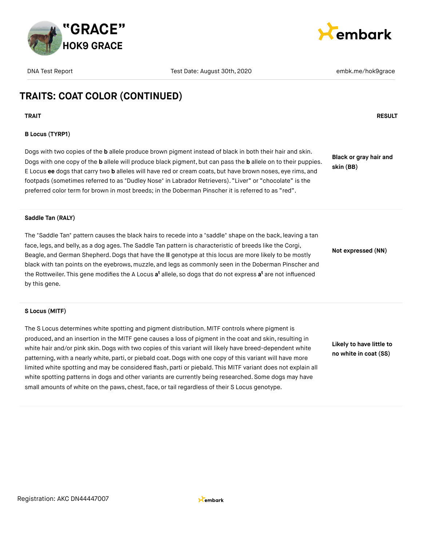



# **TRAITS: COAT COLOR (CONTINUED)**

**TRAIT RESULT**

### **B Locus (TYRP1)**

Dogs with two copies of the **b** allele produce brown pigment instead of black in both their hair and skin. Dogs with one copy of the **b** allele will produce black pigment, but can pass the **b** allele on to their puppies. E Locus **ee** dogs that carry two **b** alleles will have red or cream coats, but have brown noses, eye rims, and footpads (sometimes referred to as "Dudley Nose" in Labrador Retrievers). "Liver" or "chocolate" is the preferred color term for brown in most breeds; in the Doberman Pinscher it is referred to as "red".

**Black or gray hair and skin (BB)**

#### **Saddle Tan (RALY)**

The "Saddle Tan" pattern causes the black hairs to recede into a "saddle" shape on the back, leaving a tan face, legs, and belly, as a dog ages. The Saddle Tan pattern is characteristic of breeds like the Corgi, Beagle, and German Shepherd.Dogs that have the **II** genotype at this locus are more likely to be mostly black with tan points on the eyebrows, muzzle, and legs as commonly seen in the Doberman Pinscher and the Rottweiler. This gene modifies the A Locus **a<sup>t</sup>** allele, so dogs that do not express **a<sup>t</sup>** are not influenced by this gene.

**Not expressed (NN)**

#### **S Locus (MITF)**

The S Locus determines white spotting and pigment distribution. MITF controls where pigment is produced, and an insertion in the MITF gene causes a loss of pigment in the coat and skin, resulting in white hair and/or pink skin. Dogs with two copies of this variant will likely have breed-dependent white patterning, with a nearly white, parti, or piebald coat.Dogs with one copy of this variant will have more limited white spotting and may be considered flash, parti or piebald. This MITF variant does not explain all white spotting patterns in dogs and other variants are currently being researched. Some dogs may have small amounts of white on the paws, chest, face, or tail regardless of their S Locus genotype.

**Likely to have little to no white in coat (SS)**

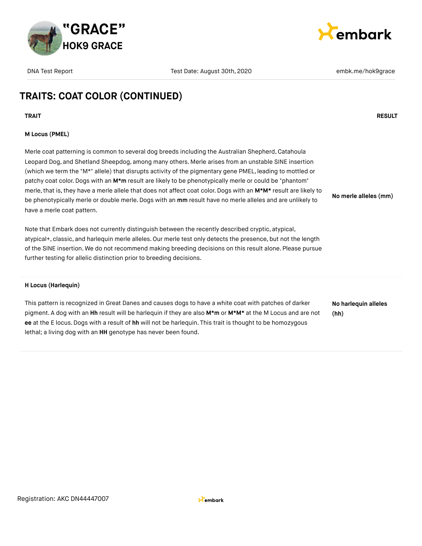



# **TRAITS: COAT COLOR (CONTINUED)**

**TRAIT RESULT**

### **M Locus (PMEL)**

Merle coat patterning is common to several dog breeds including the Australian Shepherd, Catahoula Leopard Dog, and Shetland Sheepdog, among many others. Merle arises from an unstable SINE insertion (which we term the "M\*" allele) that disrupts activity of the pigmentary gene PMEL, leading to mottled or patchy coat color.Dogs with an **M\*m** result are likely to be phenotypically merle or could be "phantom" merle, that is, they have a merle allele that does not affect coat color. Dogs with an M\*M\* result are likely to be phenotypically merle or double merle.Dogs with an **mm** result have no merle alleles and are unlikely to have a merle coat pattern. **No merle alleles (mm)**

Note that Embark does not currently distinguish between the recently described cryptic, atypical, atypical+, classic, and harlequin merle alleles. Our merle test only detects the presence, but not the length of the SINE insertion. We do not recommend making breeding decisions on this result alone. Please pursue further testing for allelic distinction prior to breeding decisions.

#### **H Locus (Harlequin)**

This pattern is recognized in Great Danes and causes dogs to have a white coat with patches of darker pigment. A dog with an **Hh** result will be harlequin if they are also **M\*m** or **M\*M\*** at the M Locus and are not **ee** at the E locus.Dogs with a result of **hh** will not be harlequin. This trait is thought to be homozygous lethal; a living dog with an **HH** genotype has never been found.

**No harlequin alleles (hh)**

Registration: AKC DN44447007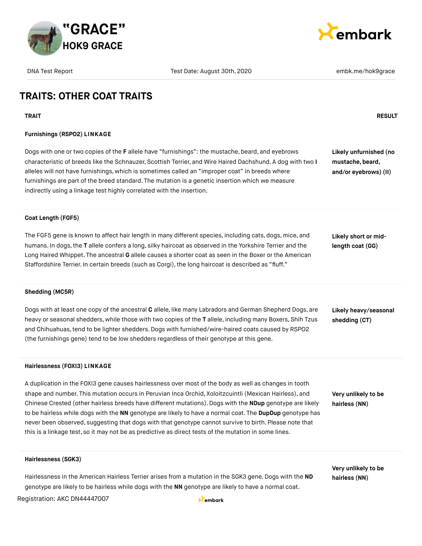

embark

DNA Test Report Test Date: August 30th, 2020 embk.me/hok9grace embk.me/hok9grace

# **TRAITS: OTHER COAT TRAITS**

**TRAIT RESULT**

### **Furnishings (RSPO2) LINKAGE**

Dogs with one or two copies of the **F** allele have "furnishings": the mustache, beard, and eyebrows characteristic of breeds like the Schnauzer, Scottish Terrier, and Wire Haired Dachshund. A dog with two **I** alleles will not have furnishings, which is sometimes called an "improper coat" in breeds where furnishings are part of the breed standard. The mutation is a genetic insertion which we measure indirectly using a linkage test highly correlated with the insertion.

**Likely unfurnished (no mustache, beard, and/or eyebrows) (II)**

#### **Coat Length (FGF5)**

The FGF5 gene is known to affect hair length in many different species, including cats, dogs, mice, and humans. In dogs,the **T** allele confers a long, silky haircoat as observed in the Yorkshire Terrier and the Long Haired Whippet. The ancestral **G** allele causes a shorter coat as seen in the Boxer or the American Staffordshire Terrier. In certain breeds (such as Corgi), the long haircoat is described as "fluff."

**Likely short or midlength coat (GG)**

#### **Shedding (MC5R)**

Dogs with at least one copy of the ancestral **C** allele, like many Labradors and German Shepherd Dogs, are heavy or seasonal shedders, while those with two copies of the **T** allele, including many Boxers, Shih Tzus and Chihuahuas,tend to be lighter shedders.Dogs with furnished/wire-haired coats caused by RSPO2 (the furnishings gene) tend to be low shedders regardless of their genotype at this gene.

**Likely heavy/seasonal shedding (CT)**

#### **Hairlessness (FOXI3) LINKAGE**

A duplication in the FOXI3 gene causes hairlessness over most of the body as well as changes in tooth shape and number. This mutation occurs in Peruvian Inca Orchid, Xoloitzcuintli (Mexican Hairless), and Chinese Crested (other hairless breeds have different mutations). Dogs with the **NDup** genotype are likely to be hairless while dogs with the **NN** genotype are likely to have a normal coat. The **DupDup** genotype has never been observed, suggesting that dogs with that genotype cannot survive to birth. Please note that this is a linkage test, so it may not be as predictive as direct tests of the mutation in some lines.

**Very unlikely to be hairless (NN)**

**Very unlikely to be hairless (NN)**

#### **Hairlessness (SGK3)**

Hairlessness in the American Hairless Terrier arises from a mutation in the SGK3 gene. Dogs with the **ND** genotype are likely to be hairless while dogs with the **NN** genotype are likely to have a normal coat.

Registration: AKC DN44447007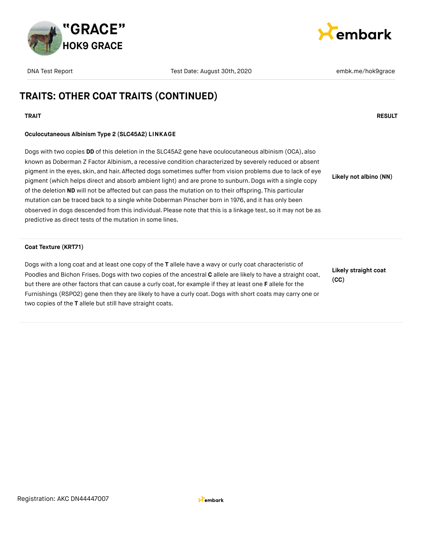



# **TRAITS: OTHER COAT TRAITS (CONTINUED)**

### **TRAIT RESULT**

### **Oculocutaneous Albinism Type 2 (SLC45A2) LINKAGE**

Dogs with two copies **DD** of this deletion in the SLC45A2 gene have oculocutaneous albinism (OCA), also known as Doberman Z Factor Albinism, a recessive condition characterized by severely reduced or absent pigment in the eyes, skin, and hair. Affected dogs sometimes suffer from vision problems due to lack of eye pigment (which helps direct and absorb ambient light) and are prone to sunburn. Dogs with a single copy of the deletion **ND** will not be affected but can pass the mutation on to their offspring. This particular mutation can be traced back to a single white Doberman Pinscher born in 1976, and it has only been observed in dogs descended from this individual. Please note that this is a linkage test, so it may not be as predictive as direct tests of the mutation in some lines. **Likely not albino (NN)**

#### **Coat Texture (KRT71)**

Dogs with a long coat and at least one copy of the **T** allele have a wavy or curly coat characteristic of Poodles and Bichon Frises. Dogs with two copies of the ancestral **C** allele are likely to have a straight coat, but there are other factors that can cause a curly coat, for example if they at least one **F** allele for the Furnishings (RSPO2) gene then they are likely to have a curly coat. Dogs with short coats may carry one or two copies of the **T** allele but still have straight coats.

**Likely straight coat (CC)**

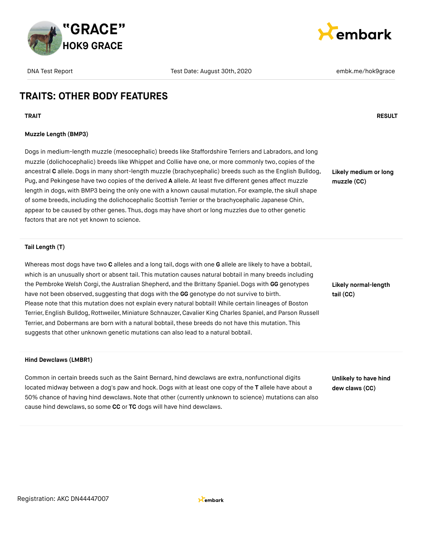



**Likely medium or long**

**muzzle (CC)**

# **TRAITS: OTHER BODY FEATURES**

**TRAIT RESULT**

### **Muzzle Length (BMP3)**

Dogs in medium-length muzzle (mesocephalic) breeds like Staffordshire Terriers and Labradors, and long muzzle (dolichocephalic) breeds like Whippet and Collie have one, or more commonly two, copies of the ancestral **C** allele.Dogs in many short-length muzzle (brachycephalic) breeds such as the English Bulldog, Pug, and Pekingese have two copies of the derived **A** allele. At least five different genes affect muzzle length in dogs, with BMP3 being the only one with a known causal mutation. For example, the skull shape of some breeds, including the dolichocephalic Scottish Terrier or the brachycephalic Japanese Chin, appear to be caused by other genes. Thus, dogs may have short or long muzzles due to other genetic factors that are not yet known to science.

#### **Tail Length (T)**

Whereas most dogs have two **C** alleles and a long tail, dogs with one **G** allele are likely to have a bobtail, which is an unusually short or absent tail. This mutation causes natural bobtail in many breeds including the Pembroke Welsh Corgi,the Australian Shepherd, and the Brittany Spaniel. Dogs with **GG** genotypes have not been observed, suggesting that dogs with the **GG** genotype do not survive to birth. Please note that this mutation does not explain every natural bobtail! While certain lineages of Boston Terrier, English Bulldog, Rottweiler, Miniature Schnauzer, Cavalier King Charles Spaniel, and Parson Russell Terrier, and Dobermans are born with a natural bobtail, these breeds do not have this mutation. This suggests that other unknown genetic mutations can also lead to a natural bobtail.

**Likely normal-length tail (CC)**

#### **Hind Dewclaws (LMBR1)**

Common in certain breeds such as the Saint Bernard, hind dewclaws are extra, nonfunctional digits located midway between a dog's paw and hock.Dogs with at least one copy of the **T** allele have about a 50% chance of having hind dewclaws.Note that other (currently unknown to science) mutations can also cause hind dewclaws, so some **CC** or **TC** dogs will have hind dewclaws.

**Unlikely to have hind dew claws (CC)**

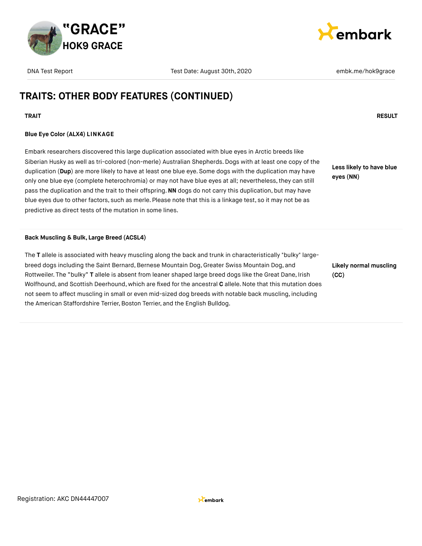



# **TRAITS: OTHER BODY FEATURES (CONTINUED)**

### **TRAIT RESULT**

### **Blue Eye Color (ALX4) LINKAGE**

Embark researchers discovered this large duplication associated with blue eyes in Arctic breeds like Siberian Husky as well as tri-colored (non-merle) Australian Shepherds. Dogs with at least one copy of the duplication (**Dup**) are more likely to have at least one blue eye. Some dogs with the duplication may have only one blue eye (complete heterochromia) or may not have blue eyes at all; nevertheless, they can still pass the duplication and the trait to their offspring.**NN** dogs do not carry this duplication, but may have blue eyes due to other factors, such as merle. Please note that this is a linkage test, so it may not be as predictive as direct tests of the mutation in some lines.

**Less likely to have blue eyes (NN)**

#### **Back Muscling & Bulk, Large Breed (ACSL4)**

The **T** allele is associated with heavy muscling along the back and trunk in characteristically "bulky" largebreed dogs including the Saint Bernard, Bernese Mountain Dog, Greater Swiss Mountain Dog, and Rottweiler. The "bulky" **T** allele is absent from leaner shaped large breed dogs like the Great Dane, Irish Wolfhound, and Scottish Deerhound, which are fixed for the ancestral **C** allele.Note that this mutation does not seem to affect muscling in small or even mid-sized dog breeds with notable back muscling, including the American Staffordshire Terrier, Boston Terrier, and the English Bulldog.

**Likely normal muscling (CC)**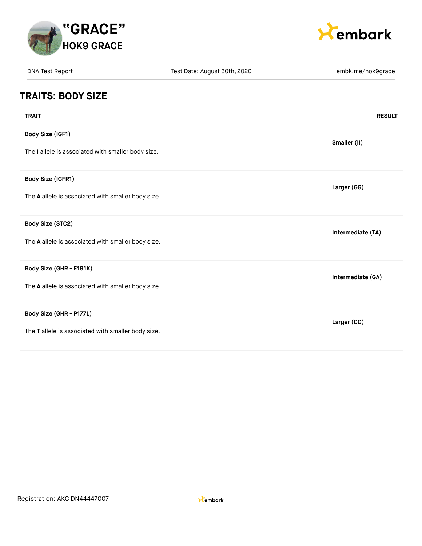



| <b>DNA Test Report</b>                             | Test Date: August 30th, 2020 | embk.me/hok9grace |  |
|----------------------------------------------------|------------------------------|-------------------|--|
| <b>TRAITS: BODY SIZE</b>                           |                              |                   |  |
| <b>TRAIT</b>                                       |                              | <b>RESULT</b>     |  |
| <b>Body Size (IGF1)</b>                            |                              | Smaller (II)      |  |
| The I allele is associated with smaller body size. |                              |                   |  |
| Body Size (IGFR1)                                  |                              | Larger (GG)       |  |
| The A allele is associated with smaller body size. |                              |                   |  |
| Body Size (STC2)                                   |                              | Intermediate (TA) |  |
| The A allele is associated with smaller body size. |                              |                   |  |
| Body Size (GHR - E191K)                            |                              | Intermediate (GA) |  |
| The A allele is associated with smaller body size. |                              |                   |  |
| Body Size (GHR - P177L)                            |                              | Larger (CC)       |  |
| The T allele is associated with smaller body size. |                              |                   |  |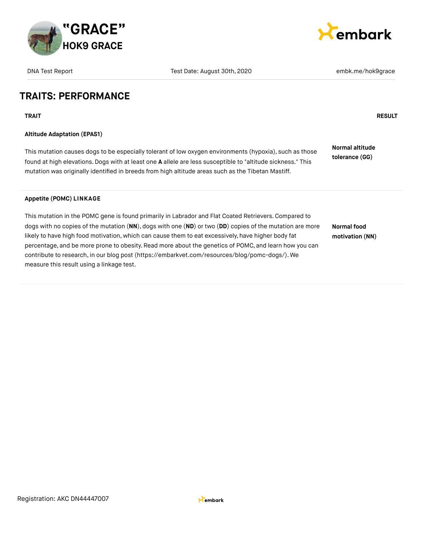

| <b>DNA Test Report</b>                                                                                                                                                                                                                            | Test Date: August 30th, 2020                                                                                                                                                                                                                                                                                               | embk.me/hok9grace                 |
|---------------------------------------------------------------------------------------------------------------------------------------------------------------------------------------------------------------------------------------------------|----------------------------------------------------------------------------------------------------------------------------------------------------------------------------------------------------------------------------------------------------------------------------------------------------------------------------|-----------------------------------|
| <b>TRAITS: PERFORMANCE</b>                                                                                                                                                                                                                        |                                                                                                                                                                                                                                                                                                                            |                                   |
| <b>TRAIT</b>                                                                                                                                                                                                                                      |                                                                                                                                                                                                                                                                                                                            | <b>RESULT</b>                     |
| <b>Altitude Adaptation (EPAS1)</b>                                                                                                                                                                                                                |                                                                                                                                                                                                                                                                                                                            |                                   |
| mutation was originally identified in breeds from high altitude areas such as the Tibetan Mastiff.                                                                                                                                                | This mutation causes dogs to be especially tolerant of low oxygen environments (hypoxia), such as those<br>found at high elevations. Dogs with at least one A allele are less susceptible to "altitude sickness." This                                                                                                     | Normal altitude<br>tolerance (GG) |
| <b>Appetite (POMC) LINKAGE</b>                                                                                                                                                                                                                    |                                                                                                                                                                                                                                                                                                                            |                                   |
| likely to have high food motivation, which can cause them to eat excessively, have higher body fat<br>contribute to research, in our blog post (https://embarkvet.com/resources/blog/pomc-dogs/). We<br>measure this result using a linkage test. | This mutation in the POMC gene is found primarily in Labrador and Flat Coated Retrievers. Compared to<br>dogs with no copies of the mutation (NN), dogs with one (ND) or two (DD) copies of the mutation are more<br>percentage, and be more prone to obesity. Read more about the genetics of POMC, and learn how you can | Normal food<br>motivation (NN)    |

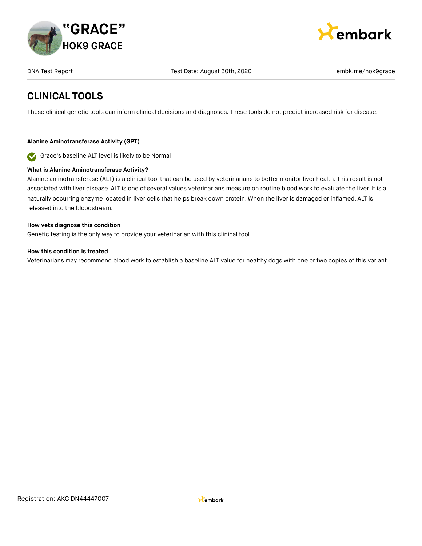



# **CLINICAL TOOLS**

These clinical genetic tools can inform clinical decisions and diagnoses. These tools do not predict increased risk for disease.

### **Alanine Aminotransferase Activity (GPT)**

Grace's baseline ALT level is likely to be Normal  $\bullet$ 

### **What is Alanine Aminotransferase Activity?**

Alanine aminotransferase (ALT) is a clinical tool that can be used by veterinarians to better monitor liver health. This result is not associated with liver disease. ALT is one of several values veterinarians measure on routine blood work to evaluate the liver. It is a naturally occurring enzyme located in liver cells that helps break down protein. When the liver is damaged or inflamed, ALT is released into the bloodstream.

#### **How vets diagnose this condition**

Genetic testing is the only way to provide your veterinarian with this clinical tool.

### **How this condition is treated**

Veterinarians may recommend blood work to establish a baseline ALT value for healthy dogs with one or two copies of this variant.

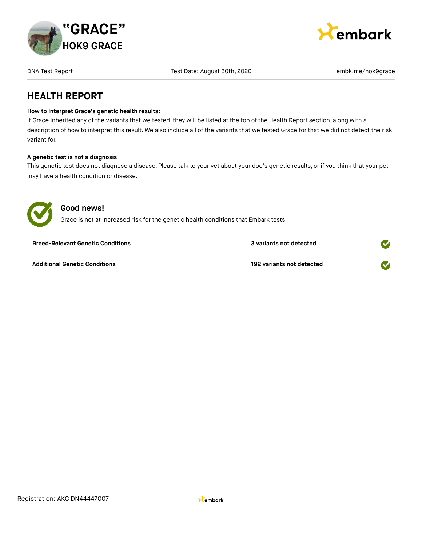



### **HEALTH REPORT**

### **How to interpret Grace's genetic health results:**

If Grace inherited any of the variants that we tested, they will be listed at the top of the Health Report section, along with a description of how to interpret this result. We also include all of the variants that we tested Grace for that we did not detect the risk variant for.

### **A genetic test is not a diagnosis**

This genetic test does not diagnose a disease. Please talk to your vet about your dog's genetic results, or if you think that your pet may have a health condition or disease.



### **Good news!**

Grace is not at increased risk for the genetic health conditions that Embark tests.

| <b>Breed-Relevant Genetic Conditions</b> | 3 variants not detected   |  |
|------------------------------------------|---------------------------|--|
| <b>Additional Genetic Conditions</b>     | 192 variants not detected |  |

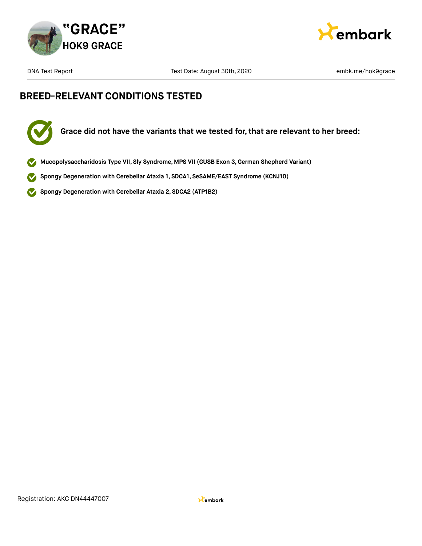



# **BREED-RELEVANT CONDITIONS TESTED**



- **Mucopolysaccharidosis Type VII, Sly Syndrome, MPS VII (GUSB Exon 3,German Shepherd Variant)**
- **Spongy Degeneration with Cerebellar Ataxia 1, SDCA1, SeSAME/EAST Syndrome (KCNJ10)**  $\checkmark$
- **Spongy Degeneration with Cerebellar Ataxia 2, SDCA2 (ATP1B2)**  $\blacktriangledown$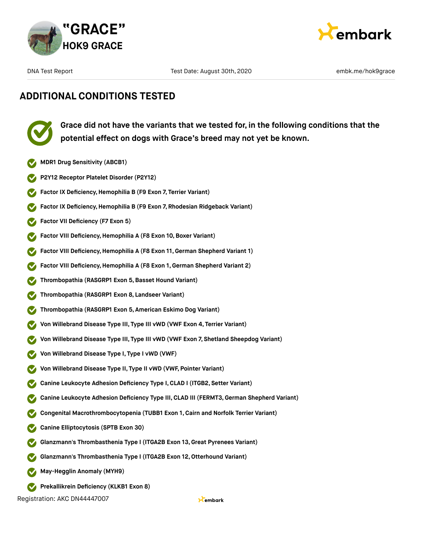



# **ADDITIONAL CONDITIONS TESTED**



**Grace did not have the variants that we tested for, in the following conditions that the potential effect on dogs with Grace's breed may not yet be known.**

- **MDR1 Drug Sensitivity (ABCB1)**
- **P2Y12 Receptor Platelet Disorder (P2Y12)**
- **Factor IX Deficiency,Hemophilia B (F9 Exon 7, Terrier Variant)**
- **Factor IX Deficiency,Hemophilia B (F9 Exon 7, Rhodesian Ridgeback Variant)**
- **Factor VII Deficiency (F7 Exon 5)**
- **Factor VIII Deficiency, Hemophilia A (F8 Exon 10, Boxer Variant)**
- **Factor VIII Deficiency, Hemophilia A (F8 Exon 11, German Shepherd Variant 1)**
- **Factor VIII Deficiency,Hemophilia A (F8 Exon 1, German Shepherd Variant 2)**
- **Thrombopathia (RASGRP1 Exon 5,Basset Hound Variant)**
- **Thrombopathia (RASGRP1 Exon 8, Landseer Variant)**
- **Thrombopathia (RASGRP1 Exon 5, American Eskimo Dog Variant)**
- **Von Willebrand Disease Type III, Type III vWD (VWF Exon 4, Terrier Variant)**
- **Von Willebrand Disease Type III, Type III vWD (VWF Exon 7, Shetland Sheepdog Variant)**
- **Von Willebrand Disease Type I, Type I vWD (VWF)**
- **Von Willebrand Disease Type II, Type II vWD (VWF, Pointer Variant)**
- **Canine Leukocyte Adhesion Deficiency Type I,CLAD I (ITGB2, Setter Variant)**
- **Canine Leukocyte Adhesion Deficiency Type III,CLAD III (FERMT3,German Shepherd Variant)**
- **Congenital Macrothrombocytopenia (TUBB1 Exon 1, Cairn and Norfolk Terrier Variant)**
- **Canine Elliptocytosis (SPTB Exon 30)**
- **Glanzmann's Thrombasthenia Type I (ITGA2B Exon 13, Great Pyrenees Variant)**
- **Glanzmann's Thrombasthenia Type I (ITGA2B Exon 12,Otterhound Variant)**
- **May-Hegglin Anomaly (MYH9)**
- **Prekallikrein Deficiency (KLKB1 Exon 8)**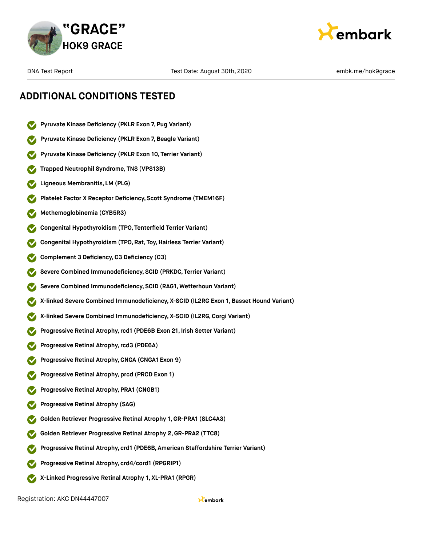



- **Pyruvate Kinase Deficiency (PKLR Exon 7, Pug Variant)**
- **Pyruvate Kinase Deficiency (PKLR Exon 7,Beagle Variant)**
- **Pyruvate Kinase Deficiency (PKLR Exon 10, Terrier Variant)**
- **Trapped Neutrophil Syndrome, TNS (VPS13B)**
- **Ligneous Membranitis, LM (PLG)**
- **Platelet Factor X Receptor Deficiency, Scott Syndrome (TMEM16F)**
- **Methemoglobinemia (CYB5R3)**
- **Congenital Hypothyroidism (TPO, Tenterfield Terrier Variant)**
- **Congenital Hypothyroidism (TPO, Rat, Toy,Hairless Terrier Variant)**
- **Complement 3 Deficiency,C3 Deficiency (C3)**
- **Severe Combined Immunodeficiency, SCID (PRKDC, Terrier Variant)**
- **Severe Combined Immunodeficiency, SCID (RAG1, Wetterhoun Variant)**
- **X-linked Severe Combined Immunodeficiency, X-SCID (IL2RG Exon 1, Basset Hound Variant)**
- **X-linked Severe Combined Immunodeficiency, X-SCID (IL2RG,Corgi Variant)**
- **Progressive Retinal Atrophy,rcd1 (PDE6B Exon 21, Irish Setter Variant)**
- **Progressive Retinal Atrophy,rcd3 (PDE6A)**
- **Progressive Retinal Atrophy,CNGA (CNGA1 Exon 9)**
- **Progressive Retinal Atrophy, prcd (PRCD Exon 1)**
- **Progressive Retinal Atrophy, PRA1 (CNGB1)**
- **Progressive Retinal Atrophy (SAG)**
- **Golden Retriever Progressive Retinal Atrophy 1, GR-PRA1 (SLC4A3)**
- **Golden Retriever Progressive Retinal Atrophy 2,GR-PRA2 (TTC8)**
- **Progressive Retinal Atrophy, crd1 (PDE6B, American Staffordshire Terrier Variant)**
- **Progressive Retinal Atrophy, crd4/cord1 (RPGRIP1)**
- **X-Linked Progressive Retinal Atrophy 1, XL-PRA1 (RPGR)**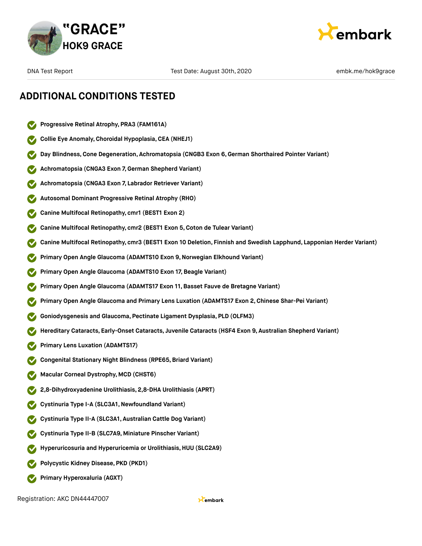



# **ADDITIONAL CONDITIONS TESTED**

- **Progressive Retinal Atrophy, PRA3 (FAM161A)**
- **Collie Eye Anomaly,Choroidal Hypoplasia,CEA (NHEJ1)**
- **Day Blindness,Cone Degeneration, Achromatopsia (CNGB3 Exon 6,German Shorthaired Pointer Variant)**
- **Achromatopsia (CNGA3 Exon 7,German Shepherd Variant)**
- **Achromatopsia (CNGA3 Exon 7, Labrador Retriever Variant)**
- **Autosomal Dominant Progressive Retinal Atrophy (RHO)**
- **Canine Multifocal Retinopathy, cmr1 (BEST1 Exon 2)**
- **Canine Multifocal Retinopathy, cmr2 (BEST1 Exon 5,Coton de Tulear Variant)**
- **Canine Multifocal Retinopathy, cmr3 (BEST1 Exon 10 Deletion, Finnish and Swedish Lapphund, Lapponian Herder Variant)**
- **Primary Open Angle Glaucoma (ADAMTS10 Exon 9,Norwegian Elkhound Variant)**
- **Primary Open Angle Glaucoma (ADAMTS10 Exon 17,Beagle Variant)**
- **Primary Open Angle Glaucoma (ADAMTS17 Exon 11,Basset Fauve de Bretagne Variant)**
- **Primary Open Angle Glaucoma and Primary Lens Luxation (ADAMTS17 Exon 2,Chinese Shar-Pei Variant)**
- **Goniodysgenesis and Glaucoma, Pectinate Ligament Dysplasia, PLD (OLFM3)**
- **Hereditary Cataracts, Early-Onset Cataracts, Juvenile Cataracts (HSF4 Exon 9, Australian Shepherd Variant)**
- **Primary Lens Luxation (ADAMTS17)**
- **Congenital Stationary Night Blindness (RPE65, Briard Variant)**
- **Macular Corneal Dystrophy, MCD (CHST6)**
- **2,8-Dihydroxyadenine Urolithiasis, 2,8-DHA Urolithiasis (APRT)**
- **Cystinuria Type I-A (SLC3A1,Newfoundland Variant)**
- **Cystinuria Type II-A (SLC3A1, Australian Cattle Dog Variant)**
- **Cystinuria Type II-B (SLC7A9, Miniature Pinscher Variant)**
- **Hyperuricosuria and Hyperuricemia or Urolithiasis,HUU (SLC2A9)**
- **Polycystic Kidney Disease, PKD (PKD1)**
- **Primary Hyperoxaluria (AGXT)**  $\bullet$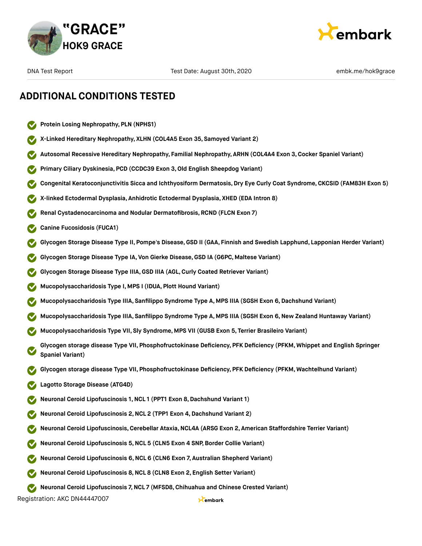



- **Protein Losing Nephropathy, PLN (NPHS1)**
- **X-Linked Hereditary Nephropathy, XLHN (COL4A5 Exon 35, Samoyed Variant 2)**
- **Autosomal Recessive Hereditary Nephropathy, Familial Nephropathy, ARHN (COL4A4 Exon 3,Cocker Spaniel Variant)**
- **Primary Ciliary Dyskinesia, PCD (CCDC39 Exon 3,Old English Sheepdog Variant)**
- **Congenital Keratoconjunctivitis Sicca and Ichthyosiform Dermatosis,Dry Eye Curly Coat Syndrome, CKCSID (FAM83H Exon 5)**
- **X-linked Ectodermal Dysplasia, Anhidrotic Ectodermal Dysplasia, XHED (EDA Intron 8)**
- **Renal Cystadenocarcinoma and Nodular Dermatofibrosis, RCND (FLCN Exon 7)**
- **Canine Fucosidosis (FUCA1)**
- **Glycogen Storage Disease Type II, Pompe's Disease,GSD II (GAA, Finnish and Swedish Lapphund, Lapponian Herder Variant)**
- **Glycogen Storage Disease Type IA, Von Gierke Disease,GSD IA (G6PC, Maltese Variant)**
- **Glycogen Storage Disease Type IIIA,GSD IIIA (AGL,Curly Coated Retriever Variant)**
- **Mucopolysaccharidosis Type I, MPS I (IDUA, Plott Hound Variant)**
- **Mucopolysaccharidosis Type IIIA, Sanfilippo Syndrome Type A, MPS IIIA (SGSH Exon 6,Dachshund Variant)**
- **Mucopolysaccharidosis Type IIIA, Sanfilippo Syndrome Type A, MPS IIIA (SGSH Exon 6,New Zealand Huntaway Variant)**
- **Mucopolysaccharidosis Type VII, Sly Syndrome, MPS VII (GUSB Exon 5, Terrier Brasileiro Variant)**
- **Glycogen storage disease Type VII, Phosphofructokinase Deficiency, PFK Deficiency (PFKM, Whippet and English Springer Spaniel Variant)**
- **Glycogen storage disease Type VII, Phosphofructokinase Deficiency, PFK Deficiency (PFKM, Wachtelhund Variant)**
- **Lagotto Storage Disease (ATG4D)**
- **Neuronal Ceroid Lipofuscinosis 1,NCL 1 (PPT1 Exon 8,Dachshund Variant 1)**
- **Neuronal Ceroid Lipofuscinosis 2,NCL 2 (TPP1 Exon 4,Dachshund Variant 2)**
- **Neuronal Ceroid Lipofuscinosis,Cerebellar Ataxia,NCL4A (ARSG Exon 2, American Staffordshire Terrier Variant)**
- **Neuronal Ceroid Lipofuscinosis 5,NCL 5 (CLN5 Exon 4 SNP,Border Collie Variant)**
- **Neuronal Ceroid Lipofuscinosis 6,NCL 6 (CLN6 Exon 7, Australian Shepherd Variant)**
- **Neuronal Ceroid Lipofuscinosis 8,NCL 8 (CLN8 Exon 2, English Setter Variant)**
- **Neuronal Ceroid Lipofuscinosis 7,NCL 7 (MFSD8, Chihuahua and Chinese Crested Variant)**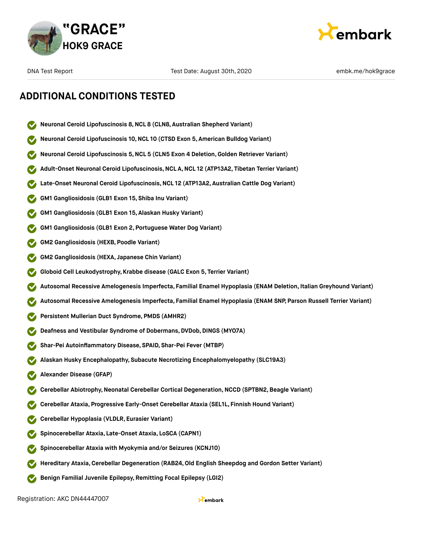



- **Neuronal Ceroid Lipofuscinosis 8,NCL 8 (CLN8, Australian Shepherd Variant)**
- **Neuronal Ceroid Lipofuscinosis 10,NCL 10 (CTSD Exon 5, American Bulldog Variant)**
- **Neuronal Ceroid Lipofuscinosis 5,NCL 5 (CLN5 Exon 4 Deletion,Golden Retriever Variant)**
- **Adult-Onset Neuronal Ceroid Lipofuscinosis,NCL A,NCL 12 (ATP13A2, Tibetan Terrier Variant)**
- **Late-Onset Neuronal Ceroid Lipofuscinosis,NCL 12 (ATP13A2, Australian Cattle Dog Variant)**
- **GM1 Gangliosidosis (GLB1 Exon 15, Shiba Inu Variant)**
- **GM1 Gangliosidosis (GLB1 Exon 15, Alaskan Husky Variant)**
- **GM1 Gangliosidosis (GLB1 Exon 2, Portuguese Water Dog Variant)**
- **GM2 Gangliosidosis (HEXB, Poodle Variant)**
- **GM2 Gangliosidosis (HEXA, Japanese Chin Variant)**
- **Globoid Cell Leukodystrophy, Krabbe disease (GALC Exon 5, Terrier Variant)**
- **Autosomal Recessive Amelogenesis Imperfecta, Familial Enamel Hypoplasia (ENAM Deletion, Italian Greyhound Variant)**
- **Autosomal Recessive Amelogenesis Imperfecta, Familial Enamel Hypoplasia (ENAM SNP, Parson Russell Terrier Variant)**
- **Persistent Mullerian Duct Syndrome, PMDS (AMHR2)**
- **Deafness and Vestibular Syndrome of Dobermans,DVDob,DINGS (MYO7A)**
- **Shar-Pei Autoinflammatory Disease, SPAID, Shar-Pei Fever (MTBP)**
- **Alaskan Husky Encephalopathy, Subacute Necrotizing Encephalomyelopathy (SLC19A3)**
- **Alexander Disease (GFAP)**
- **Cerebellar Abiotrophy,Neonatal Cerebellar Cortical Degeneration,NCCD (SPTBN2,Beagle Variant)**
- **Cerebellar Ataxia, Progressive Early-Onset Cerebellar Ataxia (SEL1L, Finnish Hound Variant)**
- **Cerebellar Hypoplasia (VLDLR, Eurasier Variant)**
- **Spinocerebellar Ataxia, Late-Onset Ataxia, LoSCA (CAPN1)**
- **Spinocerebellar Ataxia with Myokymia and/or Seizures (KCNJ10)**
- **Hereditary Ataxia,Cerebellar Degeneration (RAB24,Old English Sheepdog and Gordon Setter Variant)**
- **Benign Familial Juvenile Epilepsy, Remitting Focal Epilepsy (LGI2)**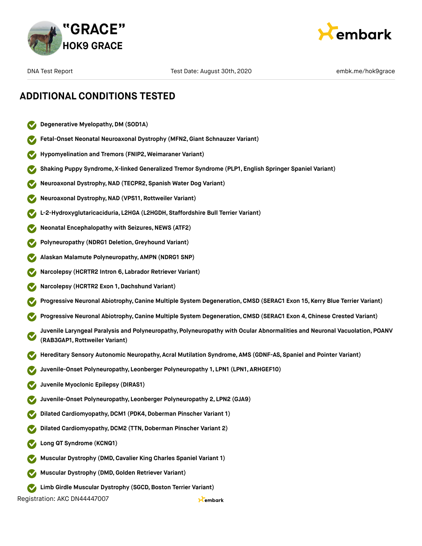



- **Degenerative Myelopathy,DM (SOD1A)**
- **Fetal-Onset Neonatal Neuroaxonal Dystrophy (MFN2,Giant Schnauzer Variant)**
- **Hypomyelination and Tremors (FNIP2, Weimaraner Variant)**
- **Shaking Puppy Syndrome, X-linked Generalized Tremor Syndrome (PLP1, English Springer Spaniel Variant)**
- **Neuroaxonal Dystrophy,NAD (TECPR2, Spanish Water Dog Variant)**
- **Neuroaxonal Dystrophy,NAD (VPS11, Rottweiler Variant)**
- **L-2-Hydroxyglutaricaciduria, L2HGA (L2HGDH, Staffordshire Bull Terrier Variant)**
- **Neonatal Encephalopathy with Seizures, NEWS (ATF2)**
- **Polyneuropathy (NDRG1 Deletion,Greyhound Variant)**
- **Alaskan Malamute Polyneuropathy, AMPN (NDRG1 SNP)**
- **Narcolepsy (HCRTR2 Intron 6, Labrador Retriever Variant)**
- **Narcolepsy (HCRTR2 Exon 1,Dachshund Variant)**
- **Progressive Neuronal Abiotrophy,Canine Multiple System Degeneration,CMSD (SERAC1 Exon 15, Kerry Blue Terrier Variant)**
- **Progressive Neuronal Abiotrophy,Canine Multiple System Degeneration,CMSD (SERAC1 Exon 4, Chinese Crested Variant)**
- **Juvenile Laryngeal Paralysis and Polyneuropathy, Polyneuropathy with Ocular Abnormalities and Neuronal Vacuolation, POANV (RAB3GAP1, Rottweiler Variant)**
- **Hereditary Sensory Autonomic Neuropathy, Acral Mutilation Syndrome, AMS (GDNF-AS, Spaniel and Pointer Variant)**
- **Juvenile-Onset Polyneuropathy, Leonberger Polyneuropathy 1, LPN1 (LPN1, ARHGEF10)**
- **Juvenile Myoclonic Epilepsy (DIRAS1)**
- **Juvenile-Onset Polyneuropathy, Leonberger Polyneuropathy 2, LPN2 (GJA9)**
- **Dilated Cardiomyopathy, DCM1 (PDK4, Doberman Pinscher Variant 1)**
- **Dilated Cardiomyopathy, DCM2 (TTN, Doberman Pinscher Variant 2)**
- **Long QT Syndrome (KCNQ1)**
- **Muscular Dystrophy (DMD,Cavalier King Charles Spaniel Variant 1)**
- **Muscular Dystrophy (DMD,Golden Retriever Variant)**
- **Limb** Girdle Muscular Dystrophy (SGCD, Boston Terrier Variant)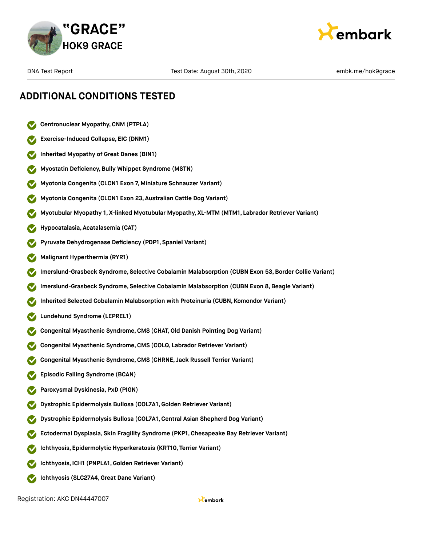



- **Centronuclear Myopathy,CNM (PTPLA)**
- **Exercise-Induced Collapse, EIC (DNM1)**
- **Inherited Myopathy of Great Danes (BIN1)**
- **Myostatin Deficiency,Bully Whippet Syndrome (MSTN)**
- **Myotonia Congenita (CLCN1 Exon 7, Miniature Schnauzer Variant)**
- **Myotonia Congenita (CLCN1 Exon 23, Australian Cattle Dog Variant)**
- **Myotubular Myopathy 1, X-linked Myotubular Myopathy, XL-MTM (MTM1, Labrador Retriever Variant)**
- **Hypocatalasia, Acatalasemia (CAT)**
- **Pyruvate Dehydrogenase Deficiency (PDP1, Spaniel Variant)**
- **Malignant Hyperthermia (RYR1)**
- **Imerslund-Grasbeck Syndrome, Selective Cobalamin Malabsorption (CUBN Exon 53,Border Collie Variant)**
- **Imerslund-Grasbeck Syndrome, Selective Cobalamin Malabsorption (CUBN Exon 8,Beagle Variant)**
- **Inherited Selected Cobalamin Malabsorption with Proteinuria (CUBN, Komondor Variant)**
- **Lundehund Syndrome (LEPREL1)**
- **Congenital Myasthenic Syndrome,CMS (CHAT,Old Danish Pointing Dog Variant)**
- **Congenital Myasthenic Syndrome,CMS (COLQ, Labrador Retriever Variant)**
- **Congenital Myasthenic Syndrome,CMS (CHRNE, Jack Russell Terrier Variant)**
- **Episodic Falling Syndrome (BCAN)**
- **Paroxysmal Dyskinesia, PxD (PIGN)**
- **Dystrophic Epidermolysis Bullosa (COL7A1,Golden Retriever Variant)**
- **Dystrophic Epidermolysis Bullosa (COL7A1,Central Asian Shepherd Dog Variant)**
- **Ectodermal Dysplasia, Skin Fragility Syndrome (PKP1, Chesapeake Bay Retriever Variant)**
- **Ichthyosis, Epidermolytic Hyperkeratosis (KRT10, Terrier Variant)**
- **Ichthyosis, ICH1 (PNPLA1,Golden Retriever Variant)**
- **Ichthyosis (SLC27A4,Great Dane Variant)**  $\bullet$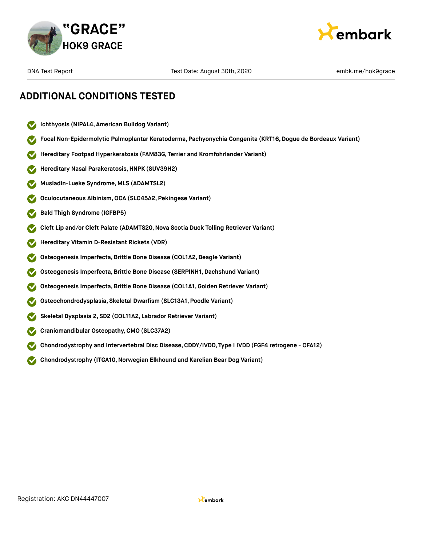



# **ADDITIONAL CONDITIONS TESTED**

- **Ichthyosis (NIPAL4, American Bulldog Variant)**  $\checkmark$
- **Focal Non-Epidermolytic Palmoplantar Keratoderma, Pachyonychia Congenita (KRT16, Dogue de Bordeaux Variant)**
- **Hereditary Footpad Hyperkeratosis (FAM83G, Terrier and Kromfohrlander Variant)**
- **Hereditary Nasal Parakeratosis,HNPK (SUV39H2)**
- **Musladin-Lueke Syndrome, MLS (ADAMTSL2)**
- **Oculocutaneous Albinism,OCA (SLC45A2, Pekingese Variant)**
- **Bald Thigh Syndrome (IGFBP5)**
- **Cleft Lip and/or Cleft Palate (ADAMTS20,Nova Scotia Duck Tolling Retriever Variant)**
- **Hereditary Vitamin D-Resistant Rickets (VDR)**
- **Osteogenesis Imperfecta,Brittle Bone Disease (COL1A2,Beagle Variant)**
- **Osteogenesis Imperfecta,Brittle Bone Disease (SERPINH1, Dachshund Variant)**
- **Osteogenesis Imperfecta,Brittle Bone Disease (COL1A1,Golden Retriever Variant)**
- **Osteochondrodysplasia, Skeletal Dwarfism (SLC13A1, Poodle Variant)**
- **Skeletal Dysplasia 2, SD2 (COL11A2, Labrador Retriever Variant)**
- **Craniomandibular Osteopathy,CMO (SLC37A2)**
- **Chondrodystrophy and Intervertebral Disc Disease,CDDY/IVDD, Type I IVDD (FGF4 retrogene CFA12)**
- **Chondrodystrophy (ITGA10,Norwegian Elkhound and Karelian Bear Dog Variant)**